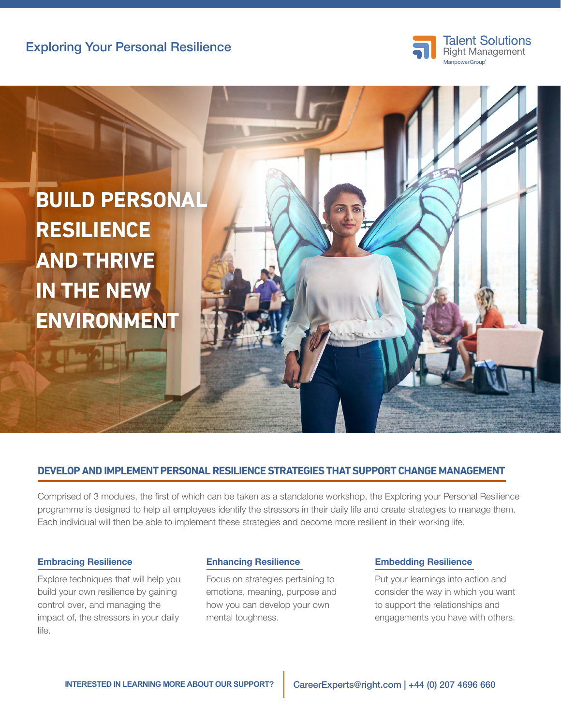

# **BUILD PERSONAL RESILIENCE AND THRIVE IN THE NEW ENVIRONMENT**

### **DEVELOP AND IMPLEMENT PERSONAL RESILIENCE STRATEGIES THAT SUPPORT CHANGE MANAGEMENT**

Comprised of 3 modules, the first of which can be taken as a standalone workshop, the Exploring your Personal Resilience programme is designed to help all employees identify the stressors in their daily life and create strategies to manage them. Each individual will then be able to implement these strategies and become more resilient in their working life.

#### Embracing Resilience

Explore techniques that will help you build your own resilience by gaining control over, and managing the impact of, the stressors in your daily life.

#### Enhancing Resilience

Focus on strategies pertaining to emotions, meaning, purpose and how you can develop your own mental toughness.

#### Embedding Resilience

Put your learnings into action and consider the way in which you want to support the relationships and engagements you have with others.